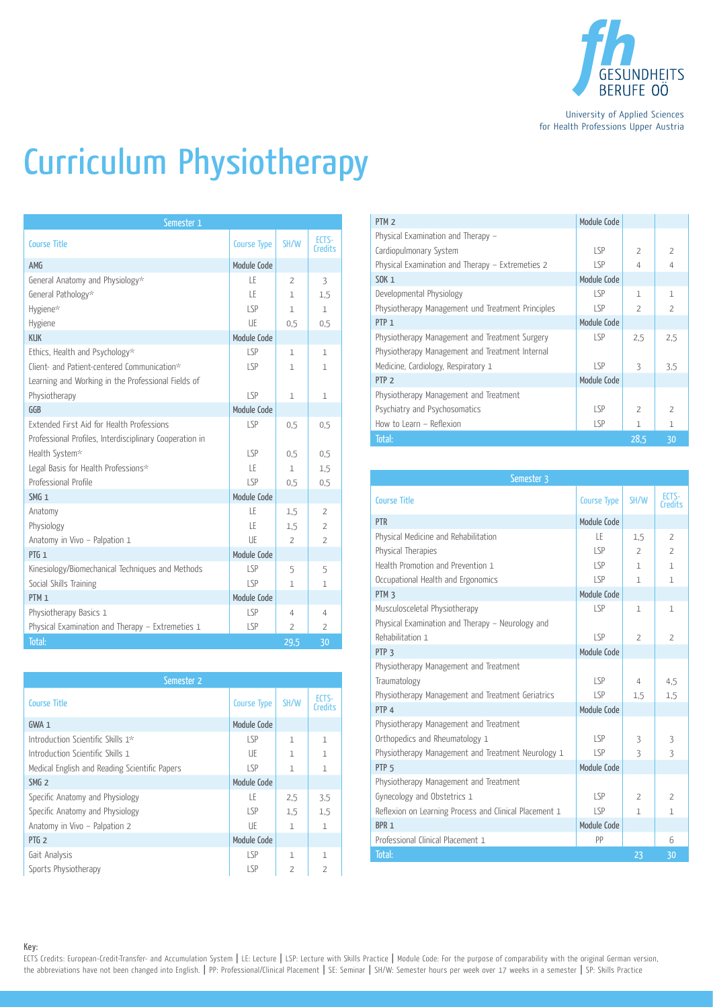

University of Applied Sciences for Health Professions Upper Austria

## Curriculum Physiotherapy

| Semester 1                                              |                    |                |                         |
|---------------------------------------------------------|--------------------|----------------|-------------------------|
| <b>Course Title</b>                                     | <b>Course Type</b> | SH/W           | ECTS-<br><b>Credits</b> |
| AMG                                                     | Module Code        |                |                         |
| General Anatomy and Physiology*                         | LE                 | $\overline{2}$ | 3                       |
| General Pathology*                                      | ΙF                 | 1              | 1.5                     |
| Hygiene*                                                | LSP                | $\mathbf{1}$   | $\mathbf{1}$            |
| Hygiene                                                 | UE                 | 0.5            | 0.5                     |
| <b>KUK</b>                                              | Module Code        |                |                         |
| Ethics, Health and Psychology*                          | LSP                | 1              | $\mathbf{1}$            |
| Client- and Patient-centered Communication*             | LSP                | $\mathbf{1}$   | $\mathbf{1}$            |
| Learning and Working in the Professional Fields of      |                    |                |                         |
| Physiotherapy                                           | SP                 | $\mathbf{1}$   | $\mathbf{1}$            |
| GGB                                                     | Module Code        |                |                         |
| Extended First Aid for Health Professions               | LSP                | 0,5            | 0,5                     |
| Professional Profiles, Interdisciplinary Cooperation in |                    |                |                         |
| Health System*                                          | LSP                | 0.5            | 0.5                     |
| Legal Basis for Health Professions*                     | LE                 | $\mathbf{1}$   | 1.5                     |
| Professional Profile                                    | LSP                | 0.5            | 0,5                     |
| SMG <sub>1</sub>                                        | Module Code        |                |                         |
| Anatomy                                                 | LE                 | 1,5            | $\overline{2}$          |
| Physiology                                              | ΙF                 | 1,5            | $\overline{2}$          |
| Anatomy in Vivo - Palpation 1                           | UE                 | $\overline{2}$ | $\overline{2}$          |
| PTG <sub>1</sub>                                        | Module Code        |                |                         |
| Kinesiology/Biomechanical Techniques and Methods        | LSP                | 5              | 5                       |
| Social Skills Training                                  | LSP                | $\mathbf{1}$   | 1                       |
| PTM <sub>1</sub>                                        | Module Code        |                |                         |
| Physiotherapy Basics 1                                  | LSP                | $\overline{4}$ | 4                       |
| Physical Examination and Therapy - Extremeties 1        | LSP                | $\overline{2}$ | $\overline{2}$          |
| Total:                                                  |                    | 29,5           | 30                      |

| Semester <sub>2</sub>                         |                    |                |                         |
|-----------------------------------------------|--------------------|----------------|-------------------------|
| <b>Course Title</b>                           | <b>Course Type</b> | SH/W           | FCTS-<br><b>Credits</b> |
| $GWA_1$                                       | Module Code        |                |                         |
| Introduction Scientific Skills 1*             | LSP                | $\mathbf{1}$   | 1                       |
| Introduction Scientific Skills 1              | UE                 | $\mathbf{1}$   | $\mathbf{1}$            |
| Medical English and Reading Scientific Papers | LSP                | $\mathbf{1}$   | $\mathbf{1}$            |
| SMG <sub>2</sub>                              | Module Code        |                |                         |
| Specific Anatomy and Physiology               | ΙF                 | 2.5            | 3.5                     |
| Specific Anatomy and Physiology               | LSP                | 1.5            | 1.5                     |
| Anatomy in Vivo - Palpation 2                 | UE                 | $\mathbf{1}$   | 1                       |
| PTG <sub>2</sub>                              | Module Code        |                |                         |
| Gait Analysis                                 | LSP                | 1              | 1                       |
| Sports Physiotherapy                          | LSP                | $\overline{2}$ | $\overline{2}$          |

| PTM <sub>2</sub>                                  | Module Code |                          |                          |
|---------------------------------------------------|-------------|--------------------------|--------------------------|
| Physical Examination and Therapy -                |             |                          |                          |
| Cardiopulmonary System                            | LSP         | $\overline{2}$           | $\overline{2}$           |
| Physical Examination and Therapy - Extremeties 2  | LSP         | $\Delta$                 | $\overline{4}$           |
| SOK 1                                             | Module Code |                          |                          |
| Developmental Physiology                          | LSP         | 1                        | 1                        |
| Physiotherapy Management und Treatment Principles | LSP         | $\overline{\phantom{a}}$ | $\overline{\phantom{a}}$ |
| PTP <sub>1</sub>                                  | Module Code |                          |                          |
| Physiotherapy Management and Treatment Surgery    | LSP         | 2.5                      | 2,5                      |
| Physiotherapy Management and Treatment Internal   |             |                          |                          |
| Medicine, Cardiology, Respiratory 1               | LSP         | $\overline{\mathcal{E}}$ | 3.5                      |
| PTP <sub>2</sub>                                  | Module Code |                          |                          |
| Physiotherapy Management and Treatment            |             |                          |                          |
| Psychiatry and Psychosomatics                     | LSP         | $\overline{\phantom{a}}$ | $\mathcal{P}$            |
| How to Learn - Reflexion                          | LSP         | 1                        | 1                        |
| Total:                                            |             | 28.5                     | 30                       |

| Semester 3                                             |                    |                |                  |
|--------------------------------------------------------|--------------------|----------------|------------------|
| <b>Course Title</b>                                    | <b>Course Type</b> | SH/W           | ECTS-<br>Credits |
| <b>PTR</b>                                             | Module Code        |                |                  |
| Physical Medicine and Rehabilitation                   | LE                 | 1,5            | $\overline{2}$   |
| Physical Therapies                                     | SP                 | $\overline{2}$ | $\overline{2}$   |
| Health Promotion and Prevention 1                      | LSP                | $\mathbf{1}$   | $\mathbf{1}$     |
| Occupational Health and Ergonomics                     | LSP                | 1              | $\mathbf{1}$     |
| PTM <sub>3</sub>                                       | Module Code        |                |                  |
| Musculosceletal Physiotherapy                          | LSP                | $\mathbf{1}$   | 1                |
| Physical Examination and Therapy - Neurology and       |                    |                |                  |
| Rehabilitation 1                                       | LSP                | $\overline{2}$ | $\overline{2}$   |
| PTP <sub>3</sub>                                       | Module Code        |                |                  |
| Physiotherapy Management and Treatment                 |                    |                |                  |
| Traumatology                                           | LSP                | 4              | 4,5              |
| Physiotherapy Management and Treatment Geriatrics      | SP                 | 1,5            | 1.5              |
| PTP <sub>4</sub>                                       | Module Code        |                |                  |
| Physiotherapy Management and Treatment                 |                    |                |                  |
| Orthopedics and Rheumatology 1                         | LSP                | 3              | 3                |
| Physiotherapy Management and Treatment Neurology 1     | LSP                | 3              | 3                |
| PTP <sub>5</sub>                                       | Module Code        |                |                  |
| Physiotherapy Management and Treatment                 |                    |                |                  |
| Gynecology and Obstetrics 1                            | LSP                | $\overline{2}$ | 2                |
| Reflexion on Learning Process and Clinical Placement 1 | LSP                | $\mathbf{1}$   | $\mathbf{1}$     |
| BPR <sub>1</sub>                                       | Module Code        |                |                  |
| Professional Clinical Placement 1                      | PP                 |                | 6                |
| Total:                                                 |                    | 23             | 30               |

Key: